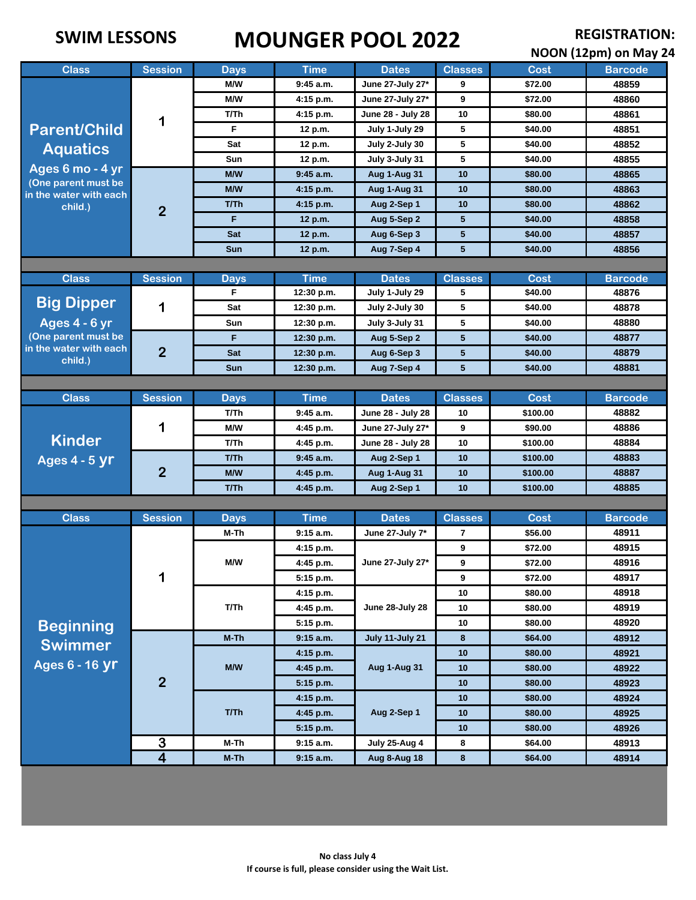# **SWIM LESSONS MOUNGER POOL 2022 REGISTRATION: REGISTRATION: REGISTRATION**

| NOON (12pm) on May 24                         |                         |             |             |                                 |                |             |                |  |  |
|-----------------------------------------------|-------------------------|-------------|-------------|---------------------------------|----------------|-------------|----------------|--|--|
| <b>Class</b>                                  | <b>Session</b>          | <b>Days</b> | <b>Time</b> | <b>Dates</b>                    | <b>Classes</b> | <b>Cost</b> | <b>Barcode</b> |  |  |
|                                               | 1                       | M/W         | 9:45 a.m.   | June 27-July 27*                | 9              | \$72.00     | 48859          |  |  |
|                                               |                         | M/W         | 4:15 p.m.   | June 27-July 27*                | 9              | \$72.00     | 48860          |  |  |
|                                               |                         | T/Th        | 4:15 p.m.   | June 28 - July 28               | 10             | \$80.00     | 48861          |  |  |
| <b>Parent/Child</b>                           |                         | F           | 12 p.m.     | July 1-July 29                  | 5              | \$40.00     | 48851          |  |  |
| <b>Aquatics</b>                               |                         | Sat         | 12 p.m.     | July 2-July 30                  | 5              | \$40.00     | 48852          |  |  |
|                                               |                         | Sun         | 12 p.m.     | July 3-July 31                  | 5              | \$40.00     | 48855          |  |  |
| Ages 6 mo - 4 yr<br>(One parent must be       |                         | M/W         | $9:45$ a.m. | Aug 1-Aug 31                    | 10             | \$80.00     | 48865          |  |  |
| in the water with each                        | $\overline{2}$          | <b>M/W</b>  | $4:15$ p.m. | Aug 1-Aug 31                    | 10             | \$80.00     | 48863          |  |  |
| child.)                                       |                         | T/Th        | 4:15 p.m.   | Aug 2-Sep 1                     | 10             | \$80.00     | 48862          |  |  |
|                                               |                         | F.          | 12 p.m.     | Aug 5-Sep 2                     | 5              | \$40.00     | 48858          |  |  |
|                                               |                         | <b>Sat</b>  | 12 p.m.     | Aug 6-Sep 3                     | 5              | \$40.00     | 48857          |  |  |
|                                               |                         | <b>Sun</b>  | 12 p.m.     | Aug 7-Sep 4                     | 5              | \$40.00     | 48856          |  |  |
|                                               |                         |             |             |                                 |                |             |                |  |  |
| <b>Class</b>                                  | <b>Session</b>          | <b>Days</b> | <b>Time</b> | <b>Dates</b>                    | <b>Classes</b> | <b>Cost</b> | <b>Barcode</b> |  |  |
| <b>Big Dipper</b>                             |                         | F           | 12:30 p.m.  | July 1-July 29                  | 5              | \$40.00     | 48876          |  |  |
|                                               | 1                       | Sat         | 12:30 p.m.  | July 2-July 30                  | 5              | \$40.00     | 48878          |  |  |
| Ages 4 - 6 yr                                 |                         | Sun         | 12:30 p.m.  | July 3-July 31                  | 5              | \$40.00     | 48880          |  |  |
| (One parent must be<br>in the water with each |                         | F           | 12:30 p.m.  | Aug 5-Sep 2                     | 5              | \$40.00     | 48877          |  |  |
| child.)                                       | $\overline{2}$          | Sat         | 12:30 p.m.  | Aug 6-Sep 3                     | 5              | \$40.00     | 48879          |  |  |
|                                               |                         | <b>Sun</b>  | 12:30 p.m.  | Aug 7-Sep 4                     | 5              | \$40.00     | 48881          |  |  |
|                                               |                         |             |             |                                 |                |             |                |  |  |
| <b>Class</b>                                  | <b>Session</b>          | <b>Days</b> | <b>Time</b> | <b>Dates</b>                    | <b>Classes</b> | <b>Cost</b> | <b>Barcode</b> |  |  |
|                                               | 1                       | T/Th        | 9:45 a.m.   | June 28 - July 28               | 10             | \$100.00    | 48882          |  |  |
|                                               |                         | M/W         | 4:45 p.m.   | June 27-July 27*                | 9              | \$90.00     | 48886          |  |  |
| <b>Kinder</b>                                 |                         | T/Th        | 4:45 p.m.   | June 28 - July 28               | 10             | \$100.00    | 48884          |  |  |
| <b>Ages 4 - 5 yr</b>                          |                         | T/Th        | $9:45$ a.m. | Aug 2-Sep 1                     | 10             | \$100.00    | 48883          |  |  |
|                                               | $\overline{2}$          | M/W         | 4:45 p.m.   | Aug 1-Aug 31                    | 10             | \$100.00    | 48887          |  |  |
|                                               |                         | T/Th        | 4:45 p.m.   | Aug 2-Sep 1                     | 10             | \$100.00    | 48885          |  |  |
|                                               |                         |             |             |                                 |                |             |                |  |  |
| <b>Class</b>                                  | <b>Session</b>          | <b>Days</b> | <b>Time</b> | <b>Dates</b>                    | <b>Classes</b> | <b>Cost</b> | <b>Barcode</b> |  |  |
|                                               | 1                       | M-Th<br>M/W | 9:15 a.m.   | June 27-July 7*                 | 7              | \$56.00     | 48911          |  |  |
|                                               |                         |             | 4:15 p.m.   | June 27-July 27*                | 9              | \$72.00     | 48915          |  |  |
|                                               |                         |             | 4:45 p.m.   |                                 | 9              | \$72.00     | 48916          |  |  |
|                                               |                         |             | 5:15 p.m.   |                                 | 9              | \$72.00     | 48917          |  |  |
|                                               |                         | T/Th        | 4:15 p.m.   | June 28-July 28                 | 10             | \$80.00     | 48918          |  |  |
|                                               |                         |             | 4:45 p.m.   |                                 | 10             | \$80.00     | 48919          |  |  |
| <b>Beginning</b>                              |                         |             | 5:15 p.m.   |                                 | 10             | \$80.00     | 48920          |  |  |
| <b>Swimmer</b>                                |                         | M-Th        | 9:15 a.m.   | July 11-July 21<br>Aug 1-Aug 31 | 8              | \$64.00     | 48912          |  |  |
| Ages 6 - 16 yr                                |                         | M/W         | 4:15 p.m.   |                                 | 10             | \$80.00     | 48921          |  |  |
|                                               | $\overline{2}$          |             | $4:45$ p.m. |                                 | 10             | \$80.00     | 48922          |  |  |
|                                               |                         | T/Th        | 5:15 p.m.   | Aug 2-Sep 1                     | 10             | \$80.00     | 48923          |  |  |
|                                               |                         |             | 4:15 p.m.   |                                 | 10             | \$80.00     | 48924          |  |  |
|                                               |                         |             | 4:45 p.m.   |                                 | 10             | \$80.00     | 48925          |  |  |
|                                               |                         |             | 5:15 p.m.   |                                 | 10             | \$80.00     | 48926          |  |  |
|                                               | $\overline{\mathbf{3}}$ | M-Th        | 9:15 a.m.   | July 25-Aug 4                   | 8              | \$64.00     | 48913          |  |  |
|                                               | $\overline{4}$          | $M-Th$      | 9:15 a.m.   | <b>Aug 8-Aug 18</b>             | 8              | \$64.00     | 48914          |  |  |